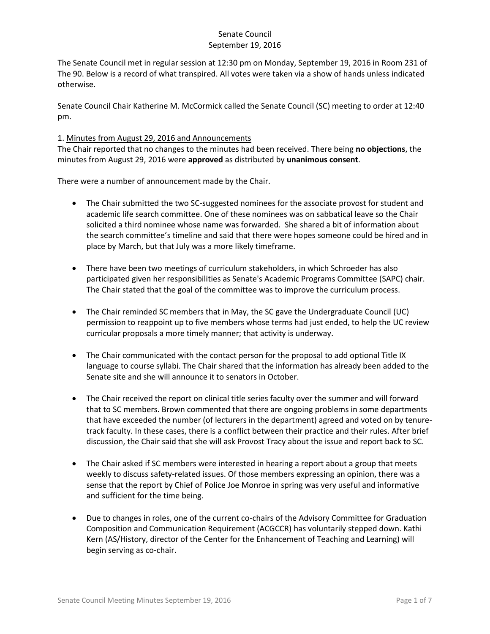The Senate Council met in regular session at 12:30 pm on Monday, September 19, 2016 in Room 231 of The 90. Below is a record of what transpired. All votes were taken via a show of hands unless indicated otherwise.

Senate Council Chair Katherine M. McCormick called the Senate Council (SC) meeting to order at 12:40 pm.

### 1. Minutes from August 29, 2016 and Announcements

The Chair reported that no changes to the minutes had been received. There being **no objections**, the minutes from August 29, 2016 were **approved** as distributed by **unanimous consent**.

There were a number of announcement made by the Chair.

- The Chair submitted the two SC-suggested nominees for the associate provost for student and academic life search committee. One of these nominees was on sabbatical leave so the Chair solicited a third nominee whose name was forwarded. She shared a bit of information about the search committee's timeline and said that there were hopes someone could be hired and in place by March, but that July was a more likely timeframe.
- There have been two meetings of curriculum stakeholders, in which Schroeder has also participated given her responsibilities as Senate's Academic Programs Committee (SAPC) chair. The Chair stated that the goal of the committee was to improve the curriculum process.
- The Chair reminded SC members that in May, the SC gave the Undergraduate Council (UC) permission to reappoint up to five members whose terms had just ended, to help the UC review curricular proposals a more timely manner; that activity is underway.
- The Chair communicated with the contact person for the proposal to add optional Title IX language to course syllabi. The Chair shared that the information has already been added to the Senate site and she will announce it to senators in October.
- The Chair received the report on clinical title series faculty over the summer and will forward that to SC members. Brown commented that there are ongoing problems in some departments that have exceeded the number (of lecturers in the department) agreed and voted on by tenuretrack faculty. In these cases, there is a conflict between their practice and their rules. After brief discussion, the Chair said that she will ask Provost Tracy about the issue and report back to SC.
- The Chair asked if SC members were interested in hearing a report about a group that meets weekly to discuss safety-related issues. Of those members expressing an opinion, there was a sense that the report by Chief of Police Joe Monroe in spring was very useful and informative and sufficient for the time being.
- Due to changes in roles, one of the current co-chairs of the Advisory Committee for Graduation Composition and Communication Requirement (ACGCCR) has voluntarily stepped down. Kathi Kern (AS/History, director of the Center for the Enhancement of Teaching and Learning) will begin serving as co-chair.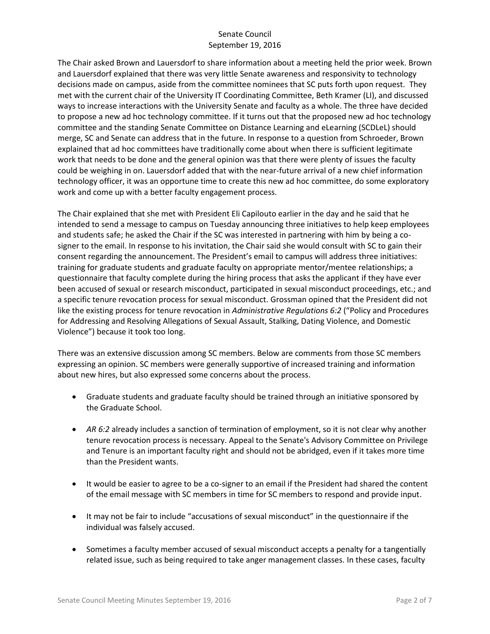The Chair asked Brown and Lauersdorf to share information about a meeting held the prior week. Brown and Lauersdorf explained that there was very little Senate awareness and responsivity to technology decisions made on campus, aside from the committee nominees that SC puts forth upon request. They met with the current chair of the University IT Coordinating Committee, Beth Kramer (LI), and discussed ways to increase interactions with the University Senate and faculty as a whole. The three have decided to propose a new ad hoc technology committee. If it turns out that the proposed new ad hoc technology committee and the standing Senate Committee on Distance Learning and eLearning (SCDLeL) should merge, SC and Senate can address that in the future. In response to a question from Schroeder, Brown explained that ad hoc committees have traditionally come about when there is sufficient legitimate work that needs to be done and the general opinion was that there were plenty of issues the faculty could be weighing in on. Lauersdorf added that with the near-future arrival of a new chief information technology officer, it was an opportune time to create this new ad hoc committee, do some exploratory work and come up with a better faculty engagement process.

The Chair explained that she met with President Eli Capilouto earlier in the day and he said that he intended to send a message to campus on Tuesday announcing three initiatives to help keep employees and students safe; he asked the Chair if the SC was interested in partnering with him by being a cosigner to the email. In response to his invitation, the Chair said she would consult with SC to gain their consent regarding the announcement. The President's email to campus will address three initiatives: training for graduate students and graduate faculty on appropriate mentor/mentee relationships; a questionnaire that faculty complete during the hiring process that asks the applicant if they have ever been accused of sexual or research misconduct, participated in sexual misconduct proceedings, etc.; and a specific tenure revocation process for sexual misconduct. Grossman opined that the President did not like the existing process for tenure revocation in *Administrative Regulations 6:2* ("Policy and Procedures for Addressing and Resolving Allegations of Sexual Assault, Stalking, Dating Violence, and Domestic Violence") because it took too long.

There was an extensive discussion among SC members. Below are comments from those SC members expressing an opinion. SC members were generally supportive of increased training and information about new hires, but also expressed some concerns about the process.

- Graduate students and graduate faculty should be trained through an initiative sponsored by the Graduate School.
- *AR 6:2* already includes a sanction of termination of employment, so it is not clear why another tenure revocation process is necessary. Appeal to the Senate's Advisory Committee on Privilege and Tenure is an important faculty right and should not be abridged, even if it takes more time than the President wants.
- It would be easier to agree to be a co-signer to an email if the President had shared the content of the email message with SC members in time for SC members to respond and provide input.
- It may not be fair to include "accusations of sexual misconduct" in the questionnaire if the individual was falsely accused.
- Sometimes a faculty member accused of sexual misconduct accepts a penalty for a tangentially related issue, such as being required to take anger management classes. In these cases, faculty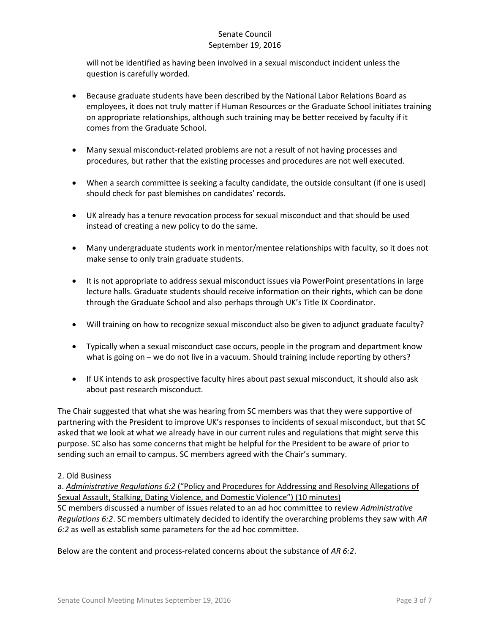will not be identified as having been involved in a sexual misconduct incident unless the question is carefully worded.

- Because graduate students have been described by the National Labor Relations Board as employees, it does not truly matter if Human Resources or the Graduate School initiates training on appropriate relationships, although such training may be better received by faculty if it comes from the Graduate School.
- Many sexual misconduct-related problems are not a result of not having processes and procedures, but rather that the existing processes and procedures are not well executed.
- When a search committee is seeking a faculty candidate, the outside consultant (if one is used) should check for past blemishes on candidates' records.
- UK already has a tenure revocation process for sexual misconduct and that should be used instead of creating a new policy to do the same.
- Many undergraduate students work in mentor/mentee relationships with faculty, so it does not make sense to only train graduate students.
- It is not appropriate to address sexual misconduct issues via PowerPoint presentations in large lecture halls. Graduate students should receive information on their rights, which can be done through the Graduate School and also perhaps through UK's Title IX Coordinator.
- Will training on how to recognize sexual misconduct also be given to adjunct graduate faculty?
- Typically when a sexual misconduct case occurs, people in the program and department know what is going on – we do not live in a vacuum. Should training include reporting by others?
- If UK intends to ask prospective faculty hires about past sexual misconduct, it should also ask about past research misconduct.

The Chair suggested that what she was hearing from SC members was that they were supportive of partnering with the President to improve UK's responses to incidents of sexual misconduct, but that SC asked that we look at what we already have in our current rules and regulations that might serve this purpose. SC also has some concerns that might be helpful for the President to be aware of prior to sending such an email to campus. SC members agreed with the Chair's summary.

### 2. Old Business

a. *Administrative Regulations 6:2* ("Policy and Procedures for Addressing and Resolving Allegations of Sexual Assault, Stalking, Dating Violence, and Domestic Violence") (10 minutes) SC members discussed a number of issues related to an ad hoc committee to review *Administrative Regulations 6:2*. SC members ultimately decided to identify the overarching problems they saw with *AR 6:2* as well as establish some parameters for the ad hoc committee.

Below are the content and process-related concerns about the substance of *AR 6:2*.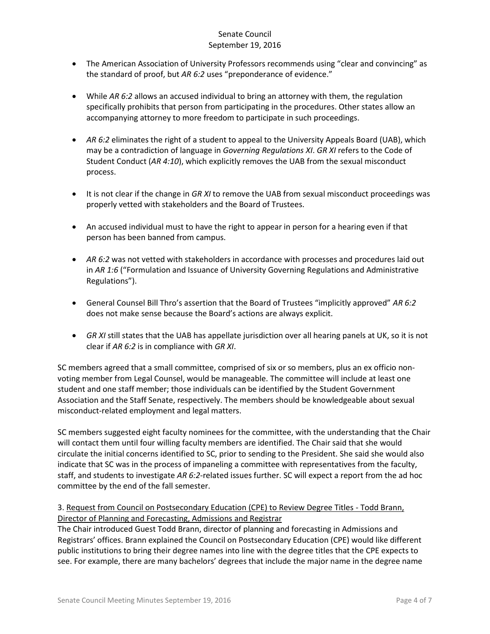- The American Association of University Professors recommends using "clear and convincing" as the standard of proof, but *AR 6:2* uses "preponderance of evidence."
- While *AR 6:2* allows an accused individual to bring an attorney with them, the regulation specifically prohibits that person from participating in the procedures. Other states allow an accompanying attorney to more freedom to participate in such proceedings.
- *AR 6:2* eliminates the right of a student to appeal to the University Appeals Board (UAB), which may be a contradiction of language in *Governing Regulations XI*. *GR XI* refers to the Code of Student Conduct (*AR 4:10*), which explicitly removes the UAB from the sexual misconduct process.
- **•** It is not clear if the change in *GR XI* to remove the UAB from sexual misconduct proceedings was properly vetted with stakeholders and the Board of Trustees.
- An accused individual must to have the right to appear in person for a hearing even if that person has been banned from campus.
- *AR 6:2* was not vetted with stakeholders in accordance with processes and procedures laid out in *AR 1:6* ("Formulation and Issuance of University Governing Regulations and Administrative Regulations").
- General Counsel Bill Thro's assertion that the Board of Trustees "implicitly approved" *AR 6:2* does not make sense because the Board's actions are always explicit.
- *GR XI* still states that the UAB has appellate jurisdiction over all hearing panels at UK, so it is not clear if *AR 6:2* is in compliance with *GR XI*.

SC members agreed that a small committee, comprised of six or so members, plus an ex officio nonvoting member from Legal Counsel, would be manageable. The committee will include at least one student and one staff member; those individuals can be identified by the Student Government Association and the Staff Senate, respectively. The members should be knowledgeable about sexual misconduct-related employment and legal matters.

SC members suggested eight faculty nominees for the committee, with the understanding that the Chair will contact them until four willing faculty members are identified. The Chair said that she would circulate the initial concerns identified to SC, prior to sending to the President. She said she would also indicate that SC was in the process of impaneling a committee with representatives from the faculty, staff, and students to investigate *AR 6:2*-related issues further. SC will expect a report from the ad hoc committee by the end of the fall semester.

### 3. Request from Council on Postsecondary Education (CPE) to Review Degree Titles - Todd Brann, Director of Planning and Forecasting, Admissions and Registrar

The Chair introduced Guest Todd Brann, director of planning and forecasting in Admissions and Registrars' offices. Brann explained the Council on Postsecondary Education (CPE) would like different public institutions to bring their degree names into line with the degree titles that the CPE expects to see. For example, there are many bachelors' degrees that include the major name in the degree name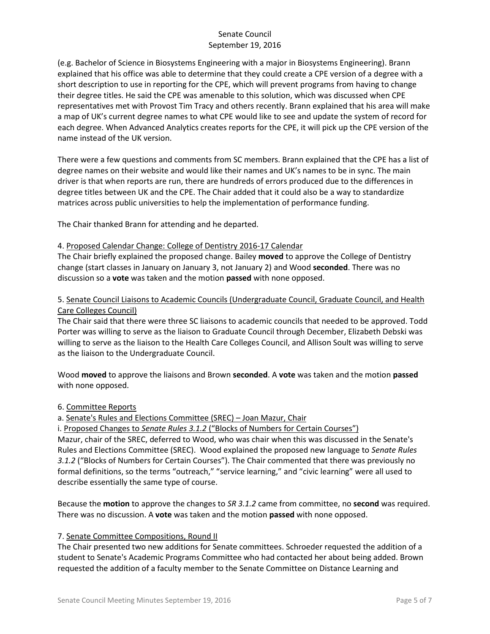(e.g. Bachelor of Science in Biosystems Engineering with a major in Biosystems Engineering). Brann explained that his office was able to determine that they could create a CPE version of a degree with a short description to use in reporting for the CPE, which will prevent programs from having to change their degree titles. He said the CPE was amenable to this solution, which was discussed when CPE representatives met with Provost Tim Tracy and others recently. Brann explained that his area will make a map of UK's current degree names to what CPE would like to see and update the system of record for each degree. When Advanced Analytics creates reports for the CPE, it will pick up the CPE version of the name instead of the UK version.

There were a few questions and comments from SC members. Brann explained that the CPE has a list of degree names on their website and would like their names and UK's names to be in sync. The main driver is that when reports are run, there are hundreds of errors produced due to the differences in degree titles between UK and the CPE. The Chair added that it could also be a way to standardize matrices across public universities to help the implementation of performance funding.

The Chair thanked Brann for attending and he departed.

### 4. Proposed Calendar Change: College of Dentistry 2016-17 Calendar

The Chair briefly explained the proposed change. Bailey **moved** to approve the College of Dentistry change (start classes in January on January 3, not January 2) and Wood **seconded**. There was no discussion so a **vote** was taken and the motion **passed** with none opposed.

### 5. Senate Council Liaisons to Academic Councils (Undergraduate Council, Graduate Council, and Health Care Colleges Council)

The Chair said that there were three SC liaisons to academic councils that needed to be approved. Todd Porter was willing to serve as the liaison to Graduate Council through December, Elizabeth Debski was willing to serve as the liaison to the Health Care Colleges Council, and Allison Soult was willing to serve as the liaison to the Undergraduate Council.

Wood **moved** to approve the liaisons and Brown **seconded**. A **vote** was taken and the motion **passed** with none opposed.

### 6. Committee Reports

a. Senate's Rules and Elections Committee (SREC) – Joan Mazur, Chair

i. Proposed Changes to *Senate Rules 3.1.2* ("Blocks of Numbers for Certain Courses")

Mazur, chair of the SREC, deferred to Wood, who was chair when this was discussed in the Senate's Rules and Elections Committee (SREC). Wood explained the proposed new language to *Senate Rules 3.1.2* ("Blocks of Numbers for Certain Courses"). The Chair commented that there was previously no formal definitions, so the terms "outreach," "service learning," and "civic learning" were all used to describe essentially the same type of course.

Because the **motion** to approve the changes to *SR 3.1.2* came from committee, no **second** was required. There was no discussion. A **vote** was taken and the motion **passed** with none opposed.

### 7. Senate Committee Compositions, Round II

The Chair presented two new additions for Senate committees. Schroeder requested the addition of a student to Senate's Academic Programs Committee who had contacted her about being added. Brown requested the addition of a faculty member to the Senate Committee on Distance Learning and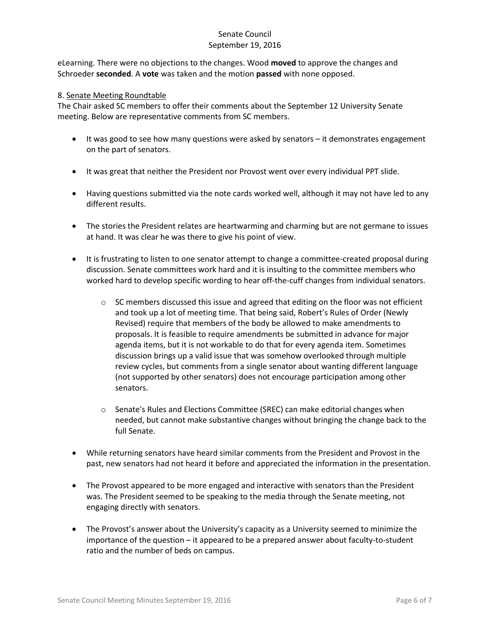eLearning. There were no objections to the changes. Wood **moved** to approve the changes and Schroeder **seconded**. A **vote** was taken and the motion **passed** with none opposed.

#### 8. Senate Meeting Roundtable

The Chair asked SC members to offer their comments about the September 12 University Senate meeting. Below are representative comments from SC members.

- It was good to see how many questions were asked by senators it demonstrates engagement on the part of senators.
- It was great that neither the President nor Provost went over every individual PPT slide.
- Having questions submitted via the note cards worked well, although it may not have led to any different results.
- The stories the President relates are heartwarming and charming but are not germane to issues at hand. It was clear he was there to give his point of view.
- It is frustrating to listen to one senator attempt to change a committee-created proposal during discussion. Senate committees work hard and it is insulting to the committee members who worked hard to develop specific wording to hear off-the-cuff changes from individual senators.
	- $\circ$  SC members discussed this issue and agreed that editing on the floor was not efficient and took up a lot of meeting time. That being said, Robert's Rules of Order (Newly Revised) require that members of the body be allowed to make amendments to proposals. It is feasible to require amendments be submitted in advance for major agenda items, but it is not workable to do that for every agenda item. Sometimes discussion brings up a valid issue that was somehow overlooked through multiple review cycles, but comments from a single senator about wanting different language (not supported by other senators) does not encourage participation among other senators.
	- o Senate's Rules and Elections Committee (SREC) can make editorial changes when needed, but cannot make substantive changes without bringing the change back to the full Senate.
- While returning senators have heard similar comments from the President and Provost in the past, new senators had not heard it before and appreciated the information in the presentation.
- The Provost appeared to be more engaged and interactive with senators than the President was. The President seemed to be speaking to the media through the Senate meeting, not engaging directly with senators.
- The Provost's answer about the University's capacity as a University seemed to minimize the importance of the question – it appeared to be a prepared answer about faculty-to-student ratio and the number of beds on campus.